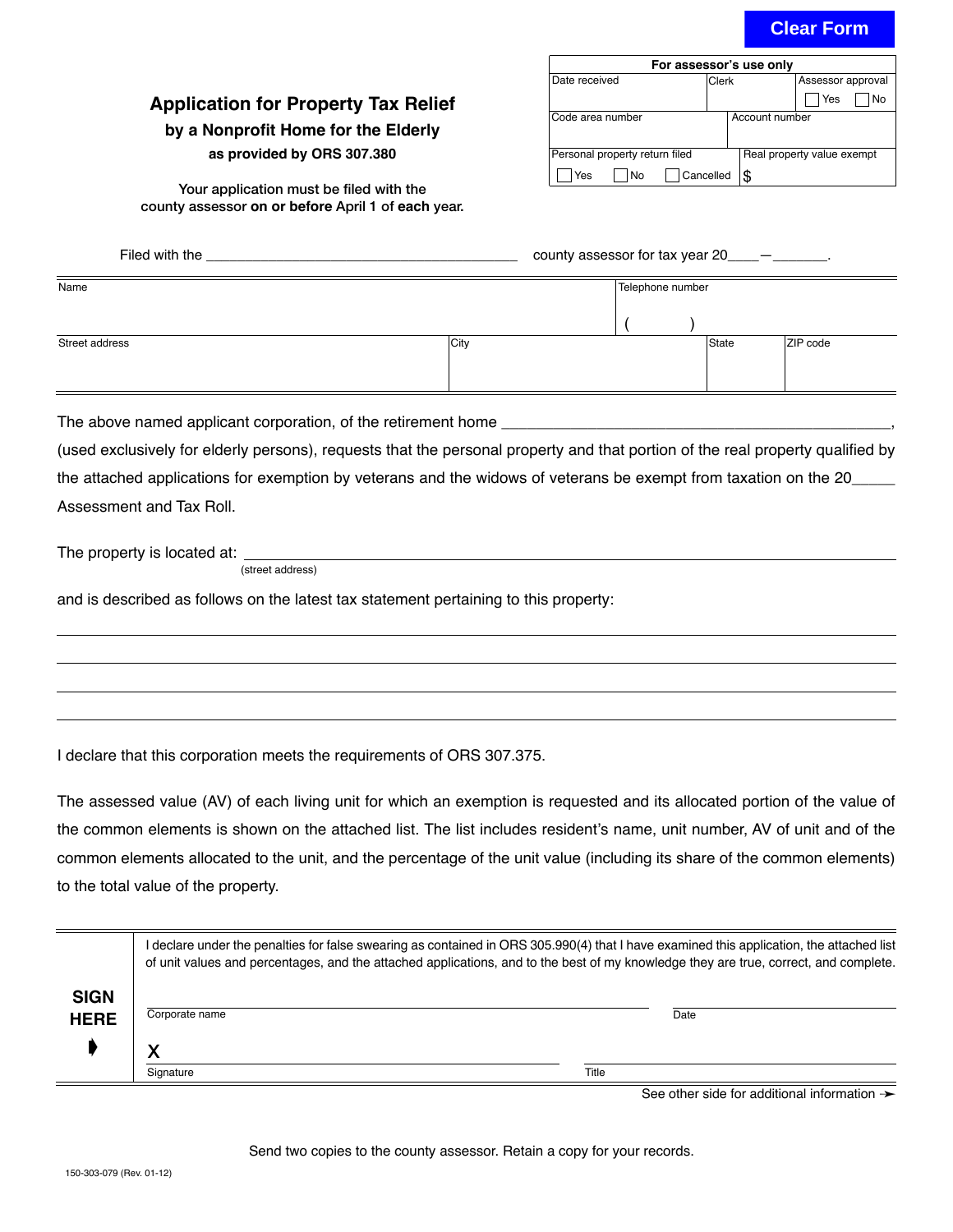# **Clear Form**

### **Application for Property Tax Relief**

#### **by a Nonprofit Home for the Elderly**

#### **as provided by ORS 307.380**

Your application must be filed with the

| For assessor's use only        |           |                            |                   |  |  |  |  |
|--------------------------------|-----------|----------------------------|-------------------|--|--|--|--|
| Date received                  | Clerk     |                            | Assessor approval |  |  |  |  |
|                                |           |                            | Yes<br>No         |  |  |  |  |
| lCode area number              |           | Account number             |                   |  |  |  |  |
| Personal property return filed |           | Real property value exempt |                   |  |  |  |  |
| Yes<br>l No                    | Cancelled |                            |                   |  |  |  |  |

county assessor **on or before** April 1 of **each** year.

|                                                                                                                                | county assessor for tax year $20$ __________. |      |                  |       |          |
|--------------------------------------------------------------------------------------------------------------------------------|-----------------------------------------------|------|------------------|-------|----------|
| Name                                                                                                                           |                                               |      | Telephone number |       |          |
|                                                                                                                                |                                               |      |                  |       |          |
| Street address                                                                                                                 |                                               | City |                  | State | ZIP code |
|                                                                                                                                |                                               |      |                  |       |          |
| The above named applicant corporation, of the retirement home                                                                  |                                               |      |                  |       |          |
| (used exclusively for elderly persons), requests that the personal property and that portion of the real property qualified by |                                               |      |                  |       |          |
| the attached applications for exemption by veterans and the widows of veterans be exempt from taxation on the 20               |                                               |      |                  |       |          |
| Assessment and Tax Roll.                                                                                                       |                                               |      |                  |       |          |
|                                                                                                                                | (street address)                              |      |                  |       |          |
| and is described as follows on the latest tax statement pertaining to this property:                                           |                                               |      |                  |       |          |
|                                                                                                                                |                                               |      |                  |       |          |
|                                                                                                                                |                                               |      |                  |       |          |
|                                                                                                                                |                                               |      |                  |       |          |

I declare that this corporation meets the requirements of ORS 307.375.

The assessed value (AV) of each living unit for which an exemption is requested and its allocated portion of the value of the common elements is shown on the attached list. The list includes resident's name, unit number, AV of unit and of the common elements allocated to the unit, and the percentage of the unit value (including its share of the common elements) to the total value of the property.

|                            | I declare under the penalties for false swearing as contained in ORS 305.990(4) that I have examined this application, the attached list<br>of unit values and percentages, and the attached applications, and to the best of my knowledge they are true, correct, and complete. |       |  |  |  |  |
|----------------------------|----------------------------------------------------------------------------------------------------------------------------------------------------------------------------------------------------------------------------------------------------------------------------------|-------|--|--|--|--|
| <b>SIGN</b><br><b>HERE</b> | Corporate name                                                                                                                                                                                                                                                                   | Date  |  |  |  |  |
|                            | v                                                                                                                                                                                                                                                                                |       |  |  |  |  |
|                            | Signature                                                                                                                                                                                                                                                                        | Title |  |  |  |  |

See other side for additional information  $\rightarrow$